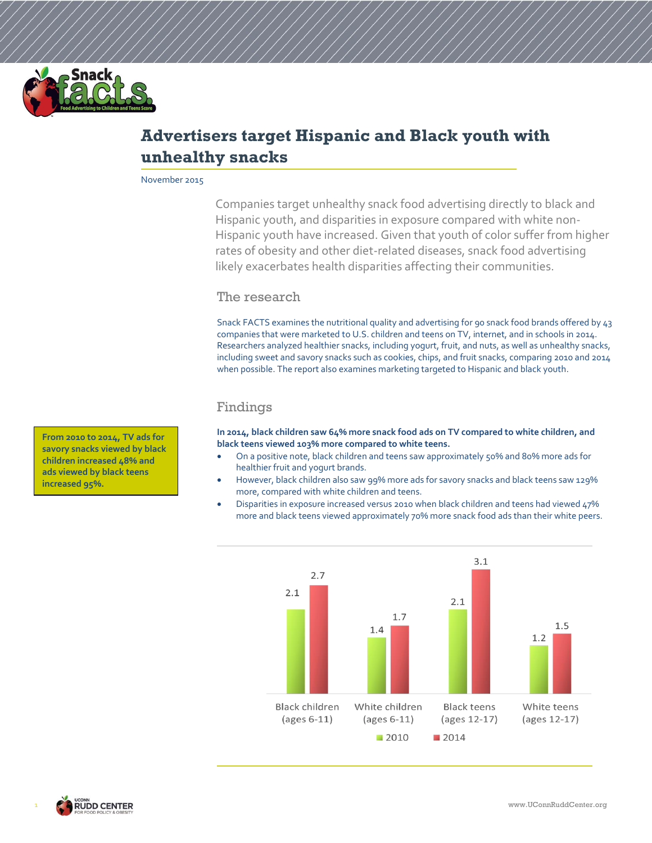

# **Advertisers target Hispanic and Black youth with unhealthy snacks**

November 2015

Companies target unhealthy snack food advertising directly to black and Hispanic youth, and disparities in exposure compared with white non-Hispanic youth have increased. Given that youth of color suffer from higher rates of obesity and other diet-related diseases, snack food advertising likely exacerbates health disparities affecting their communities.

## The research

Snack FACTS examines the nutritional quality and advertising for 90 snack food brands offered by 43 companies that were marketed to U.S. children and teens on TV, internet, and in schools in 2014. Researchers analyzed healthier snacks, including yogurt, fruit, and nuts, as well as unhealthy snacks, including sweet and savory snacks such as cookies, chips, and fruit snacks, comparing 2010 and 2014 when possible. The report also examines marketing targeted to Hispanic and black youth.

## Findings

**In 2014, black children saw 64% more snack food ads on TV compared to white children, and black teens viewed 103% more compared to white teens.**

- On a positive note, black children and teens saw approximately 50% and 80% more ads for healthier fruit and yogurt brands.
- However, black children also saw 99% more ads for savory snacks and black teens saw 129% more, compared with white children and teens.
- Disparities in exposure increased versus 2010 when black children and teens had viewed 47% more and black teens viewed approximately 70% more snack food ads than their white peers.



**From 2010 to 2014, TV ads for savory snacks viewed by black children increased 48% and ads viewed by black teens increased 95%.**